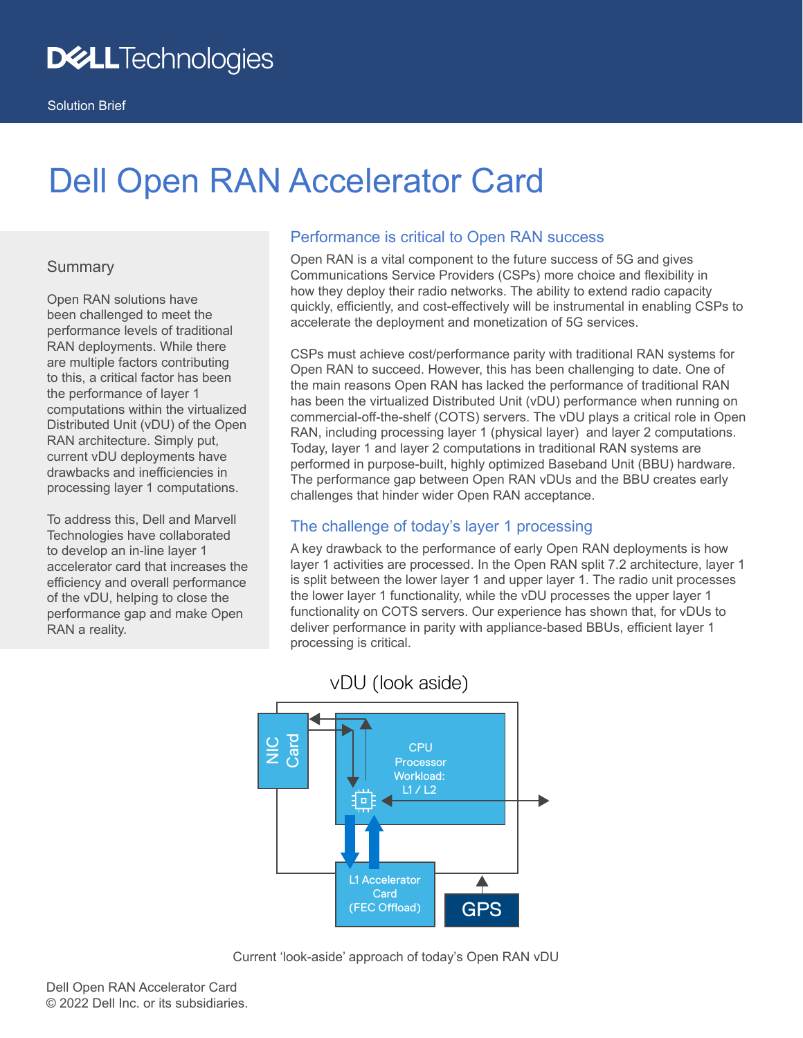# Dell Open RAN Accelerator Card

## **Summary**

Open RAN solutions have been challenged to meet the performance levels of traditional RAN deployments. While there are multiple factors contributing to this, a critical factor has been the performance of layer 1 computations within the virtualized Distributed Unit (vDU) of the Open RAN architecture. Simply put, current vDU deployments have drawbacks and inefficiencies in processing layer 1 computations.

To address this, Dell and Marvell Technologies have collaborated to develop an in-line layer 1 accelerator card that increases the efficiency and overall performance of the vDU, helping to close the performance gap and make Open RAN a reality.

# Performance is critical to Open RAN success

Open RAN is a vital component to the future success of 5G and gives Communications Service Providers (CSPs) more choice and flexibility in how they deploy their radio networks. The ability to extend radio capacity quickly, efficiently, and cost-effectively will be instrumental in enabling CSPs to accelerate the deployment and monetization of 5G services.

CSPs must achieve cost/performance parity with traditional RAN systems for Open RAN to succeed. However, this has been challenging to date. One of the main reasons Open RAN has lacked the performance of traditional RAN has been the virtualized Distributed Unit (vDU) performance when running on commercial-off-the-shelf (COTS) servers. The vDU plays a critical role in Open RAN, including processing layer 1 (physical layer) and layer 2 computations. Today, layer 1 and layer 2 computations in traditional RAN systems are performed in purpose-built, highly optimized Baseband Unit (BBU) hardware. The performance gap between Open RAN vDUs and the BBU creates early challenges that hinder wider Open RAN acceptance.

# The challenge of today's layer 1 processing

A key drawback to the performance of early Open RAN deployments is how layer 1 activities are processed. In the Open RAN split 7.2 architecture, layer 1 is split between the lower layer 1 and upper layer 1. The radio unit processes the lower layer 1 functionality, while the vDU processes the upper layer 1 functionality on COTS servers. Our experience has shown that, for vDUs to deliver performance in parity with appliance-based BBUs, efficient layer 1 processing is critical.



# vDU (look aside)

Current 'look-aside' approach of today's Open RAN vDU

Dell Open RAN Accelerator Card © 2022 Dell Inc. or its subsidiaries.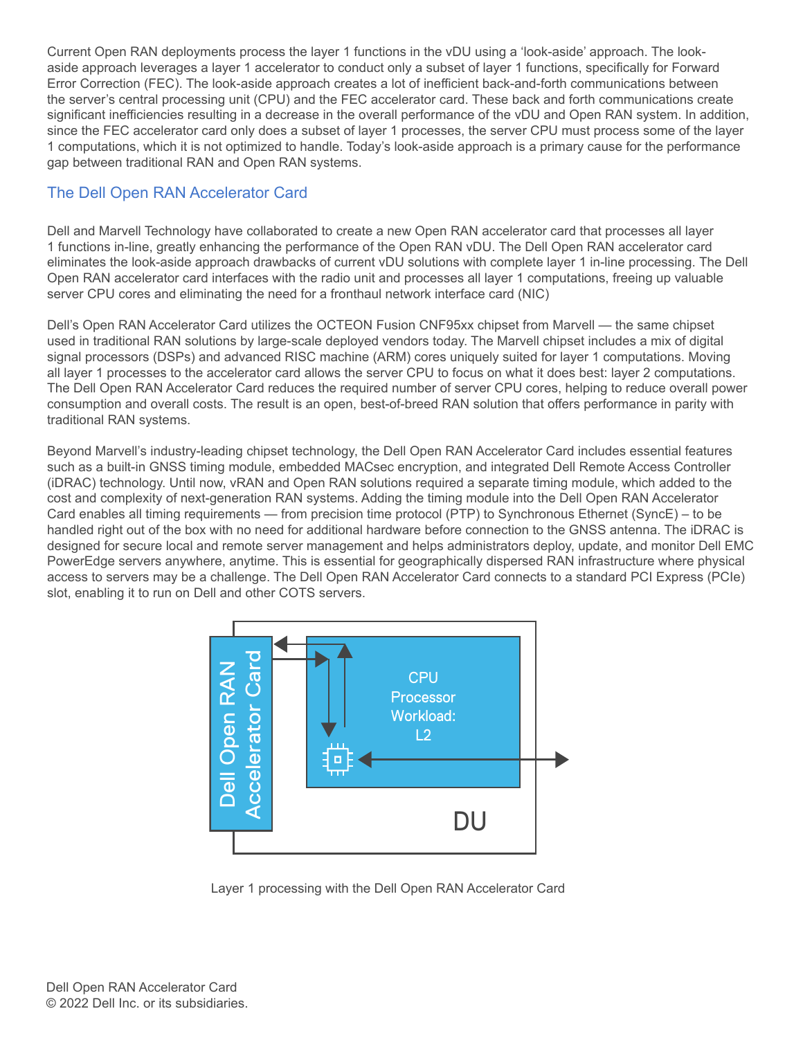Current Open RAN deployments process the layer 1 functions in the vDU using a 'look-aside' approach. The lookaside approach leverages a layer 1 accelerator to conduct only a subset of layer 1 functions, specifically for Forward Error Correction (FEC). The look-aside approach creates a lot of inefficient back-and-forth communications between the server's central processing unit (CPU) and the FEC accelerator card. These back and forth communications create significant inefficiencies resulting in a decrease in the overall performance of the vDU and Open RAN system. In addition, since the FEC accelerator card only does a subset of layer 1 processes, the server CPU must process some of the layer 1 computations, which it is not optimized to handle. Today's look-aside approach is a primary cause for the performance gap between traditional RAN and Open RAN systems.

# The Dell Open RAN Accelerator Card

Dell and Marvell Technology have collaborated to create a new Open RAN accelerator card that processes all layer 1 functions in-line, greatly enhancing the performance of the Open RAN vDU. The Dell Open RAN accelerator card eliminates the look-aside approach drawbacks of current vDU solutions with complete layer 1 in-line processing. The Dell Open RAN accelerator card interfaces with the radio unit and processes all layer 1 computations, freeing up valuable server CPU cores and eliminating the need for a fronthaul network interface card (NIC)

Dell's Open RAN Accelerator Card utilizes the OCTEON Fusion CNF95xx chipset from Marvell — the same chipset used in traditional RAN solutions by large-scale deployed vendors today. The Marvell chipset includes a mix of digital signal processors (DSPs) and advanced RISC machine (ARM) cores uniquely suited for layer 1 computations. Moving all layer 1 processes to the accelerator card allows the server CPU to focus on what it does best: layer 2 computations. The Dell Open RAN Accelerator Card reduces the required number of server CPU cores, helping to reduce overall power consumption and overall costs. The result is an open, best-of-breed RAN solution that offers performance in parity with traditional RAN systems.

Beyond Marvell's industry-leading chipset technology, the Dell Open RAN Accelerator Card includes essential features such as a built-in GNSS timing module, embedded MACsec encryption, and integrated Dell Remote Access Controller (iDRAC) technology. Until now, vRAN and Open RAN solutions required a separate timing module, which added to the cost and complexity of next-generation RAN systems. Adding the timing module into the Dell Open RAN Accelerator Card enables all timing requirements — from precision time protocol (PTP) to Synchronous Ethernet (SyncE) – to be handled right out of the box with no need for additional hardware before connection to the GNSS antenna. The iDRAC is designed for secure local and remote server management and helps administrators deploy, update, and monitor Dell EMC PowerEdge servers anywhere, anytime. This is essential for geographically dispersed RAN infrastructure where physical access to servers may be a challenge. The Dell Open RAN Accelerator Card connects to a standard PCI Express (PCIe) slot, enabling it to run on Dell and other COTS servers.



Layer 1 processing with the Dell Open RAN Accelerator Card